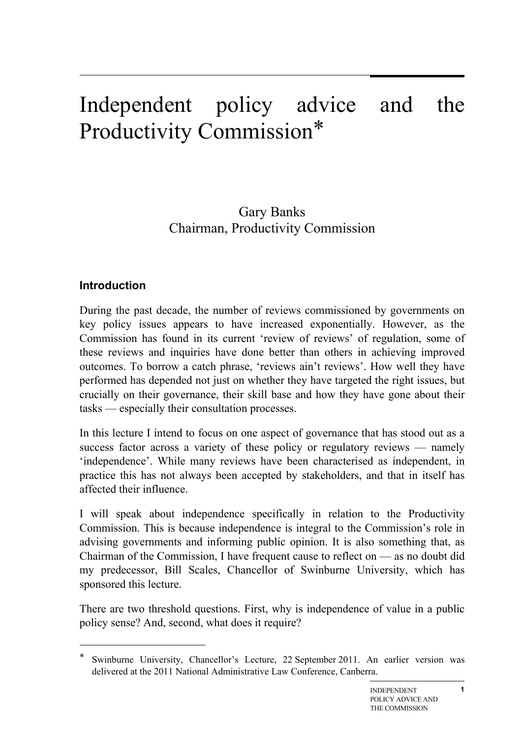# Independent policy advice and the Productivity Commission\*

# Gary Banks Chairman, Productivity Commission

#### **Introduction**

 $\overline{a}$ 

During the past decade, the number of reviews commissioned by governments on key policy issues appears to have increased exponentially. However, as the Commission has found in its current 'review of reviews' of regulation, some of these reviews and inquiries have done better than others in achieving improved outcomes. To borrow a catch phrase, 'reviews ain't reviews'. How well they have performed has depended not just on whether they have targeted the right issues, but crucially on their governance, their skill base and how they have gone about their tasks — especially their consultation processes.

In this lecture I intend to focus on one aspect of governance that has stood out as a success factor across a variety of these policy or regulatory reviews — namely 'independence'. While many reviews have been characterised as independent, in practice this has not always been accepted by stakeholders, and that in itself has affected their influence.

I will speak about independence specifically in relation to the Productivity Commission. This is because independence is integral to the Commission's role in advising governments and informing public opinion. It is also something that, as Chairman of the Commission, I have frequent cause to reflect on — as no doubt did my predecessor, Bill Scales, Chancellor of Swinburne University, which has sponsored this lecture.

There are two threshold questions. First, why is independence of value in a public policy sense? And, second, what does it require?

Swinburne University, Chancellor's Lecture, 22 September 2011. An earlier version was delivered at the 2011 National Administrative Law Conference, Canberra.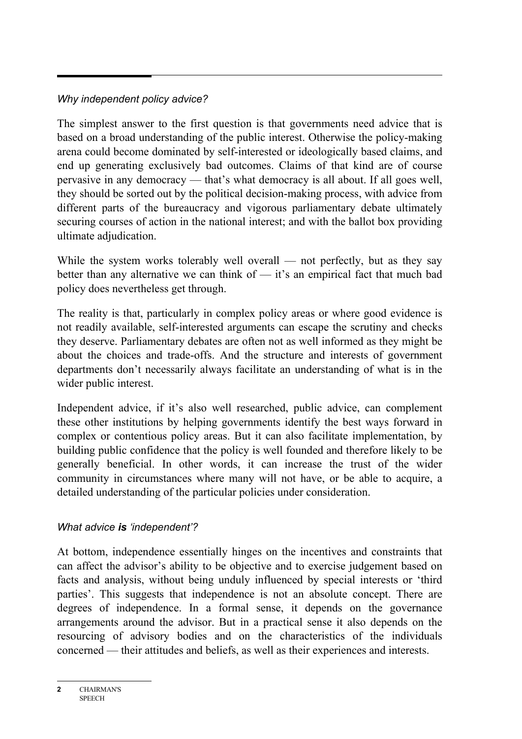### *Why independent policy advice?*

The simplest answer to the first question is that governments need advice that is based on a broad understanding of the public interest. Otherwise the policy-making arena could become dominated by self-interested or ideologically based claims, and end up generating exclusively bad outcomes. Claims of that kind are of course pervasive in any democracy — that's what democracy is all about. If all goes well, they should be sorted out by the political decision-making process, with advice from different parts of the bureaucracy and vigorous parliamentary debate ultimately securing courses of action in the national interest; and with the ballot box providing ultimate adjudication.

While the system works tolerably well overall — not perfectly, but as they say better than any alternative we can think of — it's an empirical fact that much bad policy does nevertheless get through.

The reality is that, particularly in complex policy areas or where good evidence is not readily available, self-interested arguments can escape the scrutiny and checks they deserve. Parliamentary debates are often not as well informed as they might be about the choices and trade-offs. And the structure and interests of government departments don't necessarily always facilitate an understanding of what is in the wider public interest.

Independent advice, if it's also well researched, public advice, can complement these other institutions by helping governments identify the best ways forward in complex or contentious policy areas. But it can also facilitate implementation, by building public confidence that the policy is well founded and therefore likely to be generally beneficial. In other words, it can increase the trust of the wider community in circumstances where many will not have, or be able to acquire, a detailed understanding of the particular policies under consideration.

#### *What advice is 'independent'?*

At bottom, independence essentially hinges on the incentives and constraints that can affect the advisor's ability to be objective and to exercise judgement based on facts and analysis, without being unduly influenced by special interests or 'third parties'. This suggests that independence is not an absolute concept. There are degrees of independence. In a formal sense, it depends on the governance arrangements around the advisor. But in a practical sense it also depends on the resourcing of advisory bodies and on the characteristics of the individuals concerned — their attitudes and beliefs, as well as their experiences and interests.

**<sup>2</sup>** CHAIRMAN'S **SPEECH**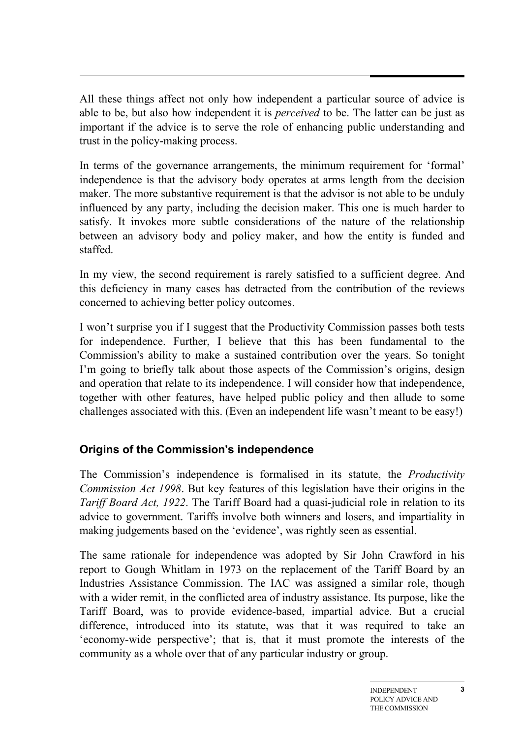All these things affect not only how independent a particular source of advice is able to be, but also how independent it is *perceived* to be. The latter can be just as important if the advice is to serve the role of enhancing public understanding and trust in the policy-making process.

In terms of the governance arrangements, the minimum requirement for 'formal' independence is that the advisory body operates at arms length from the decision maker. The more substantive requirement is that the advisor is not able to be unduly influenced by any party, including the decision maker. This one is much harder to satisfy. It invokes more subtle considerations of the nature of the relationship between an advisory body and policy maker, and how the entity is funded and staffed.

In my view, the second requirement is rarely satisfied to a sufficient degree. And this deficiency in many cases has detracted from the contribution of the reviews concerned to achieving better policy outcomes.

I won't surprise you if I suggest that the Productivity Commission passes both tests for independence. Further, I believe that this has been fundamental to the Commission's ability to make a sustained contribution over the years. So tonight I'm going to briefly talk about those aspects of the Commission's origins, design and operation that relate to its independence. I will consider how that independence, together with other features, have helped public policy and then allude to some challenges associated with this. (Even an independent life wasn't meant to be easy!)

# **Origins of the Commission's independence**

The Commission's independence is formalised in its statute, the *Productivity Commission Act 1998*. But key features of this legislation have their origins in the *Tariff Board Act, 1922*. The Tariff Board had a quasi-judicial role in relation to its advice to government. Tariffs involve both winners and losers, and impartiality in making judgements based on the 'evidence', was rightly seen as essential.

The same rationale for independence was adopted by Sir John Crawford in his report to Gough Whitlam in 1973 on the replacement of the Tariff Board by an Industries Assistance Commission. The IAC was assigned a similar role, though with a wider remit, in the conflicted area of industry assistance. Its purpose, like the Tariff Board, was to provide evidence-based, impartial advice. But a crucial difference, introduced into its statute, was that it was required to take an 'economy-wide perspective'; that is, that it must promote the interests of the community as a whole over that of any particular industry or group.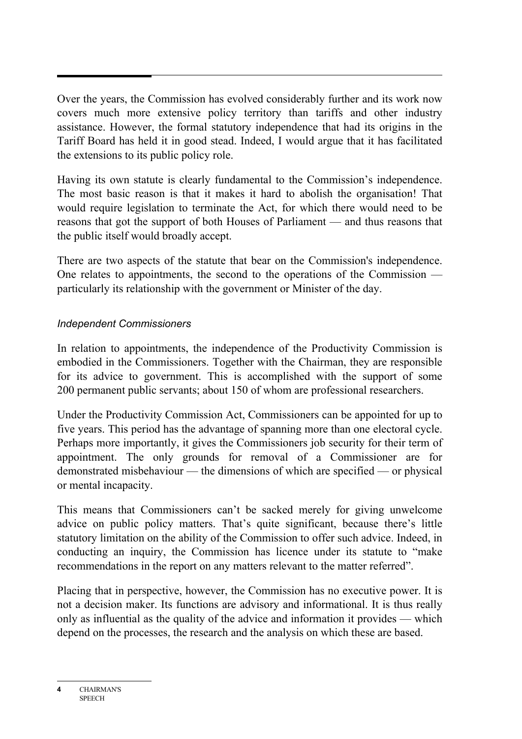Over the years, the Commission has evolved considerably further and its work now covers much more extensive policy territory than tariffs and other industry assistance. However, the formal statutory independence that had its origins in the Tariff Board has held it in good stead. Indeed, I would argue that it has facilitated the extensions to its public policy role.

Having its own statute is clearly fundamental to the Commission's independence. The most basic reason is that it makes it hard to abolish the organisation! That would require legislation to terminate the Act, for which there would need to be reasons that got the support of both Houses of Parliament — and thus reasons that the public itself would broadly accept.

There are two aspects of the statute that bear on the Commission's independence. One relates to appointments, the second to the operations of the Commission particularly its relationship with the government or Minister of the day.

#### *Independent Commissioners*

In relation to appointments, the independence of the Productivity Commission is embodied in the Commissioners. Together with the Chairman, they are responsible for its advice to government. This is accomplished with the support of some 200 permanent public servants; about 150 of whom are professional researchers.

Under the Productivity Commission Act, Commissioners can be appointed for up to five years. This period has the advantage of spanning more than one electoral cycle. Perhaps more importantly, it gives the Commissioners job security for their term of appointment. The only grounds for removal of a Commissioner are for demonstrated misbehaviour — the dimensions of which are specified — or physical or mental incapacity.

This means that Commissioners can't be sacked merely for giving unwelcome advice on public policy matters. That's quite significant, because there's little statutory limitation on the ability of the Commission to offer such advice. Indeed, in conducting an inquiry, the Commission has licence under its statute to "make recommendations in the report on any matters relevant to the matter referred".

Placing that in perspective, however, the Commission has no executive power. It is not a decision maker. Its functions are advisory and informational. It is thus really only as influential as the quality of the advice and information it provides — which depend on the processes, the research and the analysis on which these are based.

**<sup>4</sup>** CHAIRMAN'S **SPEECH**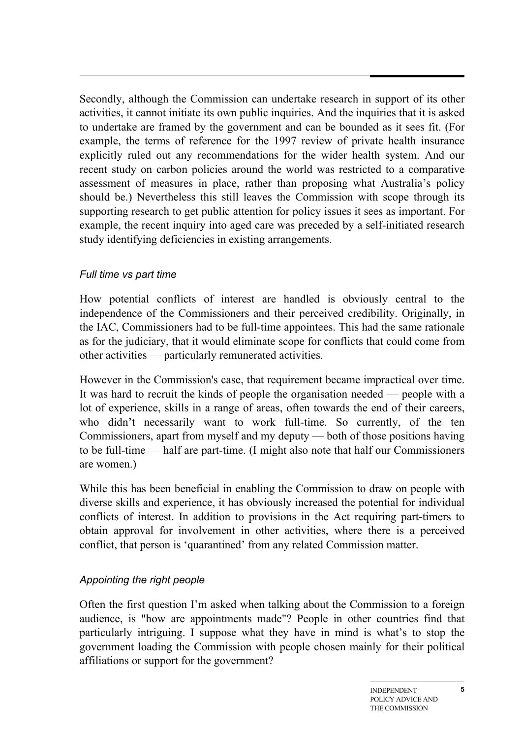Secondly, although the Commission can undertake research in support of its other activities, it cannot initiate its own public inquiries. And the inquiries that it is asked to undertake are framed by the government and can be bounded as it sees fit. (For example, the terms of reference for the 1997 review of private health insurance explicitly ruled out any recommendations for the wider health system. And our recent study on carbon policies around the world was restricted to a comparative assessment of measures in place, rather than proposing what Australia's policy should be.) Nevertheless this still leaves the Commission with scope through its supporting research to get public attention for policy issues it sees as important. For example, the recent inquiry into aged care was preceded by a self-initiated research study identifying deficiencies in existing arrangements.

#### *Full time vs part time*

How potential conflicts of interest are handled is obviously central to the independence of the Commissioners and their perceived credibility. Originally, in the IAC, Commissioners had to be full-time appointees. This had the same rationale as for the judiciary, that it would eliminate scope for conflicts that could come from other activities — particularly remunerated activities.

However in the Commission's case, that requirement became impractical over time. It was hard to recruit the kinds of people the organisation needed — people with a lot of experience, skills in a range of areas, often towards the end of their careers, who didn't necessarily want to work full-time. So currently, of the ten Commissioners, apart from myself and my deputy — both of those positions having to be full-time — half are part-time. (I might also note that half our Commissioners are women.)

While this has been beneficial in enabling the Commission to draw on people with diverse skills and experience, it has obviously increased the potential for individual conflicts of interest. In addition to provisions in the Act requiring part-timers to obtain approval for involvement in other activities, where there is a perceived conflict, that person is 'quarantined' from any related Commission matter.

# *Appointing the right people*

Often the first question I'm asked when talking about the Commission to a foreign audience, is "how are appointments made"? People in other countries find that particularly intriguing. I suppose what they have in mind is what's to stop the government loading the Commission with people chosen mainly for their political affiliations or support for the government?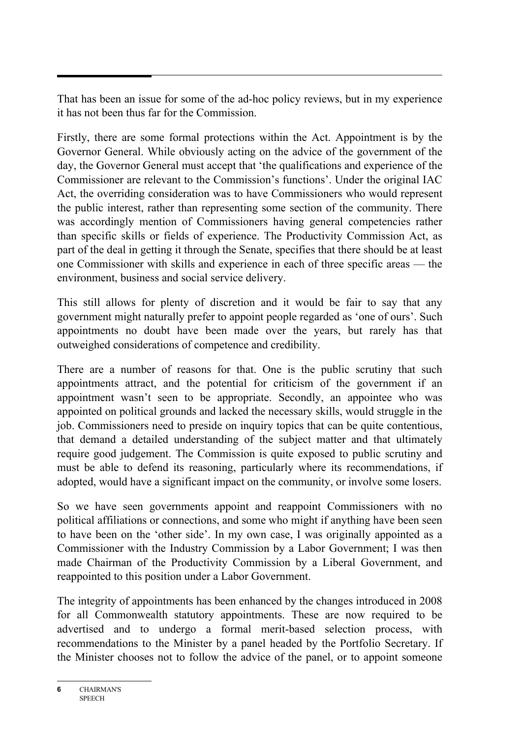That has been an issue for some of the ad-hoc policy reviews, but in my experience it has not been thus far for the Commission.

Firstly, there are some formal protections within the Act. Appointment is by the Governor General. While obviously acting on the advice of the government of the day, the Governor General must accept that 'the qualifications and experience of the Commissioner are relevant to the Commission's functions'. Under the original IAC Act, the overriding consideration was to have Commissioners who would represent the public interest, rather than representing some section of the community. There was accordingly mention of Commissioners having general competencies rather than specific skills or fields of experience. The Productivity Commission Act, as part of the deal in getting it through the Senate, specifies that there should be at least one Commissioner with skills and experience in each of three specific areas — the environment, business and social service delivery.

This still allows for plenty of discretion and it would be fair to say that any government might naturally prefer to appoint people regarded as 'one of ours'. Such appointments no doubt have been made over the years, but rarely has that outweighed considerations of competence and credibility.

There are a number of reasons for that. One is the public scrutiny that such appointments attract, and the potential for criticism of the government if an appointment wasn't seen to be appropriate. Secondly, an appointee who was appointed on political grounds and lacked the necessary skills, would struggle in the job. Commissioners need to preside on inquiry topics that can be quite contentious, that demand a detailed understanding of the subject matter and that ultimately require good judgement. The Commission is quite exposed to public scrutiny and must be able to defend its reasoning, particularly where its recommendations, if adopted, would have a significant impact on the community, or involve some losers.

So we have seen governments appoint and reappoint Commissioners with no political affiliations or connections, and some who might if anything have been seen to have been on the 'other side'. In my own case, I was originally appointed as a Commissioner with the Industry Commission by a Labor Government; I was then made Chairman of the Productivity Commission by a Liberal Government, and reappointed to this position under a Labor Government.

The integrity of appointments has been enhanced by the changes introduced in 2008 for all Commonwealth statutory appointments. These are now required to be advertised and to undergo a formal merit-based selection process, with recommendations to the Minister by a panel headed by the Portfolio Secretary. If the Minister chooses not to follow the advice of the panel, or to appoint someone

**<sup>6</sup>** CHAIRMAN'S **SPEECH**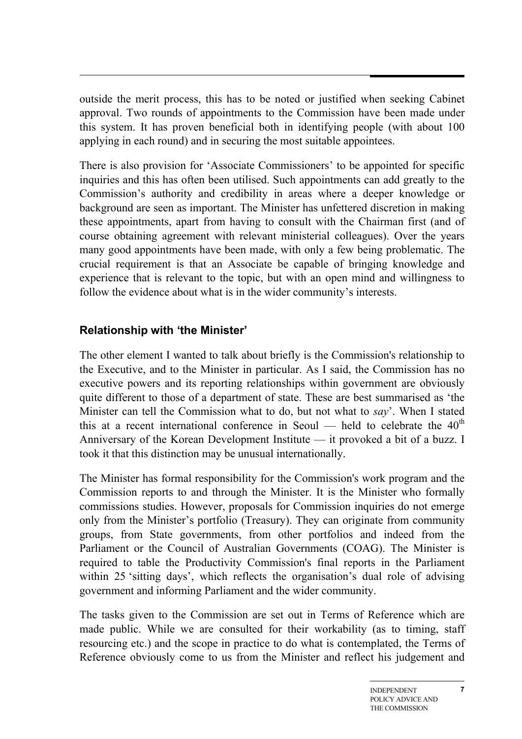outside the merit process, this has to be noted or justified when seeking Cabinet approval. Two rounds of appointments to the Commission have been made under this system. It has proven beneficial both in identifying people (with about 100 applying in each round) and in securing the most suitable appointees.

There is also provision for 'Associate Commissioners' to be appointed for specific inquiries and this has often been utilised. Such appointments can add greatly to the Commission's authority and credibility in areas where a deeper knowledge or background are seen as important. The Minister has unfettered discretion in making these appointments, apart from having to consult with the Chairman first (and of course obtaining agreement with relevant ministerial colleagues). Over the years many good appointments have been made, with only a few being problematic. The crucial requirement is that an Associate be capable of bringing knowledge and experience that is relevant to the topic, but with an open mind and willingness to follow the evidence about what is in the wider community's interests.

#### **Relationship with 'the Minister'**

The other element I wanted to talk about briefly is the Commission's relationship to the Executive, and to the Minister in particular. As I said, the Commission has no executive powers and its reporting relationships within government are obviously quite different to those of a department of state. These are best summarised as 'the Minister can tell the Commission what to do, but not what to *say*'. When I stated this at a recent international conference in Seoul — held to celebrate the  $40<sup>th</sup>$ Anniversary of the Korean Development Institute — it provoked a bit of a buzz. I took it that this distinction may be unusual internationally.

The Minister has formal responsibility for the Commission's work program and the Commission reports to and through the Minister. It is the Minister who formally commissions studies. However, proposals for Commission inquiries do not emerge only from the Minister's portfolio (Treasury). They can originate from community groups, from State governments, from other portfolios and indeed from the Parliament or the Council of Australian Governments (COAG). The Minister is required to table the Productivity Commission's final reports in the Parliament within 25 'sitting days', which reflects the organisation's dual role of advising government and informing Parliament and the wider community.

The tasks given to the Commission are set out in Terms of Reference which are made public. While we are consulted for their workability (as to timing, staff resourcing etc.) and the scope in practice to do what is contemplated, the Terms of Reference obviously come to us from the Minister and reflect his judgement and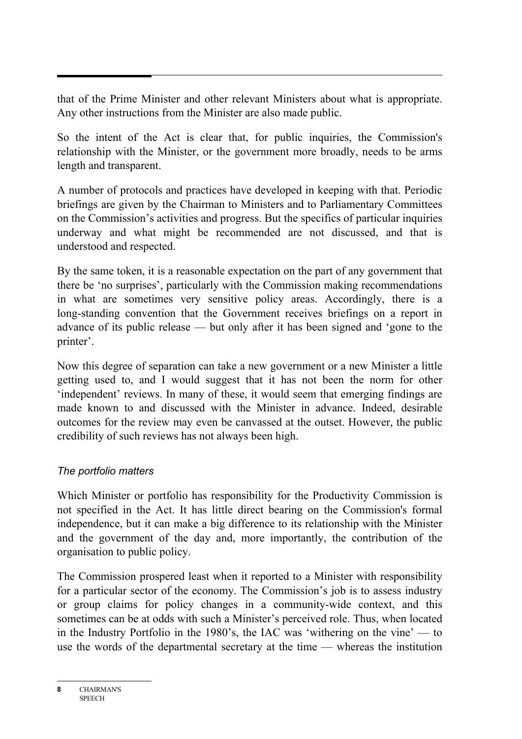that of the Prime Minister and other relevant Ministers about what is appropriate. Any other instructions from the Minister are also made public.

So the intent of the Act is clear that, for public inquiries, the Commission's relationship with the Minister, or the government more broadly, needs to be arms length and transparent.

A number of protocols and practices have developed in keeping with that. Periodic briefings are given by the Chairman to Ministers and to Parliamentary Committees on the Commission's activities and progress. But the specifics of particular inquiries underway and what might be recommended are not discussed, and that is understood and respected.

By the same token, it is a reasonable expectation on the part of any government that there be 'no surprises', particularly with the Commission making recommendations in what are sometimes very sensitive policy areas. Accordingly, there is a long-standing convention that the Government receives briefings on a report in advance of its public release — but only after it has been signed and 'gone to the printer'.

Now this degree of separation can take a new government or a new Minister a little getting used to, and I would suggest that it has not been the norm for other 'independent' reviews. In many of these, it would seem that emerging findings are made known to and discussed with the Minister in advance. Indeed, desirable outcomes for the review may even be canvassed at the outset. However, the public credibility of such reviews has not always been high.

#### *The portfolio matters*

Which Minister or portfolio has responsibility for the Productivity Commission is not specified in the Act. It has little direct bearing on the Commission's formal independence, but it can make a big difference to its relationship with the Minister and the government of the day and, more importantly, the contribution of the organisation to public policy.

The Commission prospered least when it reported to a Minister with responsibility for a particular sector of the economy. The Commission's job is to assess industry or group claims for policy changes in a community-wide context, and this sometimes can be at odds with such a Minister's perceived role. Thus, when located in the Industry Portfolio in the 1980's, the IAC was 'withering on the vine' — to use the words of the departmental secretary at the time — whereas the institution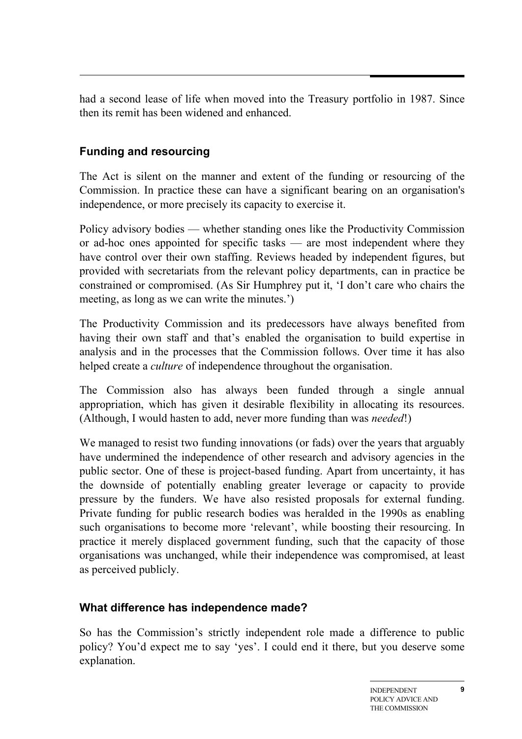had a second lease of life when moved into the Treasury portfolio in 1987. Since then its remit has been widened and enhanced.

# **Funding and resourcing**

The Act is silent on the manner and extent of the funding or resourcing of the Commission. In practice these can have a significant bearing on an organisation's independence, or more precisely its capacity to exercise it.

Policy advisory bodies — whether standing ones like the Productivity Commission or ad-hoc ones appointed for specific tasks — are most independent where they have control over their own staffing. Reviews headed by independent figures, but provided with secretariats from the relevant policy departments, can in practice be constrained or compromised. (As Sir Humphrey put it, 'I don't care who chairs the meeting, as long as we can write the minutes.')

The Productivity Commission and its predecessors have always benefited from having their own staff and that's enabled the organisation to build expertise in analysis and in the processes that the Commission follows. Over time it has also helped create a *culture* of independence throughout the organisation.

The Commission also has always been funded through a single annual appropriation, which has given it desirable flexibility in allocating its resources. (Although, I would hasten to add, never more funding than was *needed*!)

We managed to resist two funding innovations (or fads) over the years that arguably have undermined the independence of other research and advisory agencies in the public sector. One of these is project-based funding. Apart from uncertainty, it has the downside of potentially enabling greater leverage or capacity to provide pressure by the funders. We have also resisted proposals for external funding. Private funding for public research bodies was heralded in the 1990s as enabling such organisations to become more 'relevant', while boosting their resourcing. In practice it merely displaced government funding, such that the capacity of those organisations was unchanged, while their independence was compromised, at least as perceived publicly.

# **What difference has independence made?**

So has the Commission's strictly independent role made a difference to public policy? You'd expect me to say 'yes'. I could end it there, but you deserve some explanation.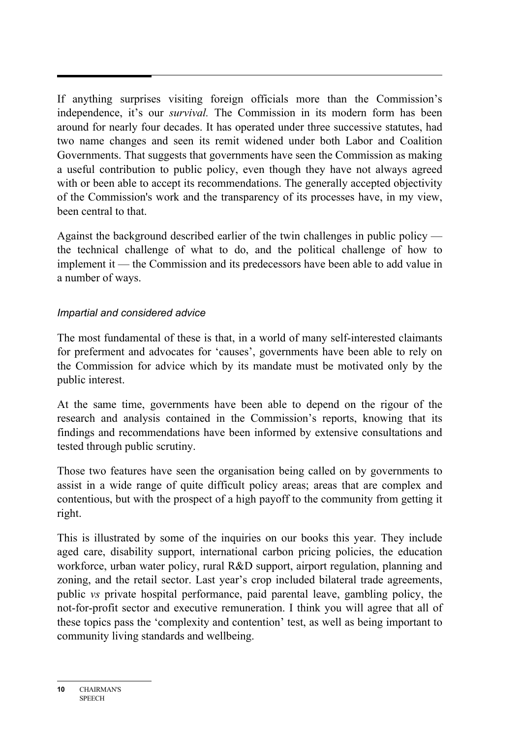If anything surprises visiting foreign officials more than the Commission's independence, it's our *survival.* The Commission in its modern form has been around for nearly four decades. It has operated under three successive statutes, had two name changes and seen its remit widened under both Labor and Coalition Governments. That suggests that governments have seen the Commission as making a useful contribution to public policy, even though they have not always agreed with or been able to accept its recommendations. The generally accepted objectivity of the Commission's work and the transparency of its processes have, in my view, been central to that.

Against the background described earlier of the twin challenges in public policy the technical challenge of what to do, and the political challenge of how to implement it — the Commission and its predecessors have been able to add value in a number of ways.

#### *Impartial and considered advice*

The most fundamental of these is that, in a world of many self-interested claimants for preferment and advocates for 'causes', governments have been able to rely on the Commission for advice which by its mandate must be motivated only by the public interest.

At the same time, governments have been able to depend on the rigour of the research and analysis contained in the Commission's reports, knowing that its findings and recommendations have been informed by extensive consultations and tested through public scrutiny.

Those two features have seen the organisation being called on by governments to assist in a wide range of quite difficult policy areas; areas that are complex and contentious, but with the prospect of a high payoff to the community from getting it right.

This is illustrated by some of the inquiries on our books this year. They include aged care, disability support, international carbon pricing policies, the education workforce, urban water policy, rural R&D support, airport regulation, planning and zoning, and the retail sector. Last year's crop included bilateral trade agreements, public *vs* private hospital performance, paid parental leave, gambling policy, the not-for-profit sector and executive remuneration. I think you will agree that all of these topics pass the 'complexity and contention' test, as well as being important to community living standards and wellbeing.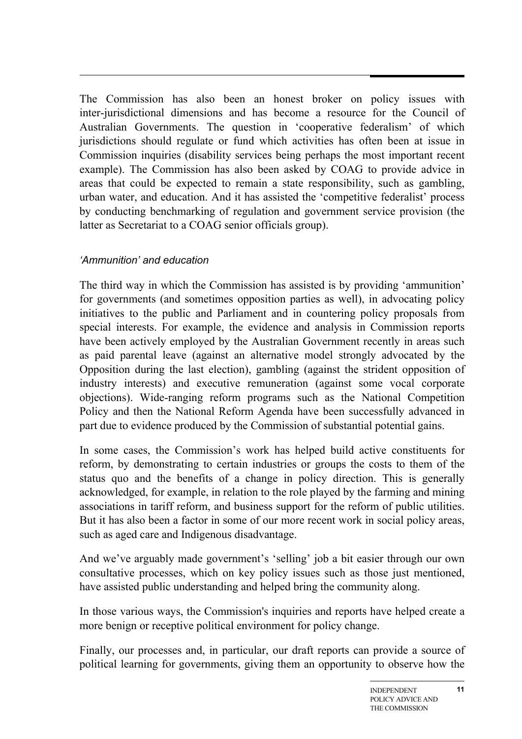The Commission has also been an honest broker on policy issues with inter-jurisdictional dimensions and has become a resource for the Council of Australian Governments. The question in 'cooperative federalism' of which jurisdictions should regulate or fund which activities has often been at issue in Commission inquiries (disability services being perhaps the most important recent example). The Commission has also been asked by COAG to provide advice in areas that could be expected to remain a state responsibility, such as gambling, urban water, and education. And it has assisted the 'competitive federalist' process by conducting benchmarking of regulation and government service provision (the latter as Secretariat to a COAG senior officials group).

#### *'Ammunition' and education*

The third way in which the Commission has assisted is by providing 'ammunition' for governments (and sometimes opposition parties as well), in advocating policy initiatives to the public and Parliament and in countering policy proposals from special interests. For example, the evidence and analysis in Commission reports have been actively employed by the Australian Government recently in areas such as paid parental leave (against an alternative model strongly advocated by the Opposition during the last election), gambling (against the strident opposition of industry interests) and executive remuneration (against some vocal corporate objections). Wide-ranging reform programs such as the National Competition Policy and then the National Reform Agenda have been successfully advanced in part due to evidence produced by the Commission of substantial potential gains.

In some cases, the Commission's work has helped build active constituents for reform, by demonstrating to certain industries or groups the costs to them of the status quo and the benefits of a change in policy direction. This is generally acknowledged, for example, in relation to the role played by the farming and mining associations in tariff reform, and business support for the reform of public utilities. But it has also been a factor in some of our more recent work in social policy areas, such as aged care and Indigenous disadvantage.

And we've arguably made government's 'selling' job a bit easier through our own consultative processes, which on key policy issues such as those just mentioned, have assisted public understanding and helped bring the community along.

In those various ways, the Commission's inquiries and reports have helped create a more benign or receptive political environment for policy change.

Finally, our processes and, in particular, our draft reports can provide a source of political learning for governments, giving them an opportunity to observe how the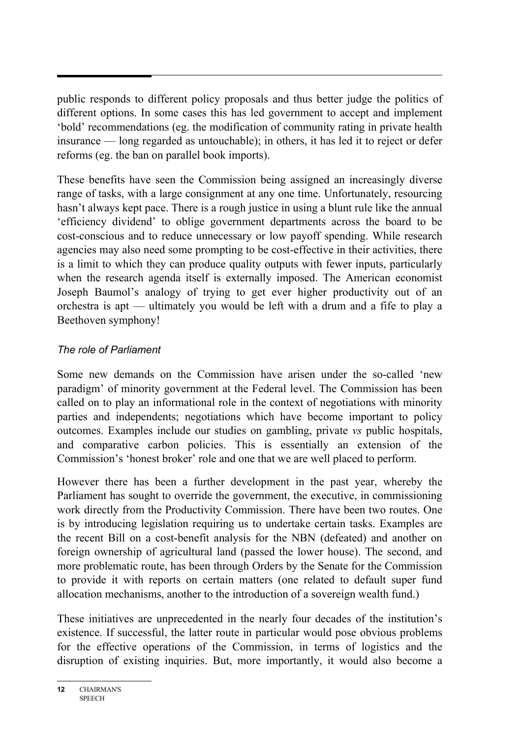public responds to different policy proposals and thus better judge the politics of different options. In some cases this has led government to accept and implement 'bold' recommendations (eg. the modification of community rating in private health insurance — long regarded as untouchable); in others, it has led it to reject or defer reforms (eg. the ban on parallel book imports).

These benefits have seen the Commission being assigned an increasingly diverse range of tasks, with a large consignment at any one time. Unfortunately, resourcing hasn't always kept pace. There is a rough justice in using a blunt rule like the annual 'efficiency dividend' to oblige government departments across the board to be cost-conscious and to reduce unnecessary or low payoff spending. While research agencies may also need some prompting to be cost-effective in their activities, there is a limit to which they can produce quality outputs with fewer inputs, particularly when the research agenda itself is externally imposed. The American economist Joseph Baumol's analogy of trying to get ever higher productivity out of an orchestra is apt — ultimately you would be left with a drum and a fife to play a Beethoven symphony!

#### *The role of Parliament*

Some new demands on the Commission have arisen under the so-called 'new paradigm' of minority government at the Federal level. The Commission has been called on to play an informational role in the context of negotiations with minority parties and independents; negotiations which have become important to policy outcomes. Examples include our studies on gambling, private *vs* public hospitals, and comparative carbon policies. This is essentially an extension of the Commission's 'honest broker' role and one that we are well placed to perform.

However there has been a further development in the past year, whereby the Parliament has sought to override the government, the executive, in commissioning work directly from the Productivity Commission. There have been two routes. One is by introducing legislation requiring us to undertake certain tasks. Examples are the recent Bill on a cost-benefit analysis for the NBN (defeated) and another on foreign ownership of agricultural land (passed the lower house). The second, and more problematic route, has been through Orders by the Senate for the Commission to provide it with reports on certain matters (one related to default super fund allocation mechanisms, another to the introduction of a sovereign wealth fund.)

These initiatives are unprecedented in the nearly four decades of the institution's existence. If successful, the latter route in particular would pose obvious problems for the effective operations of the Commission, in terms of logistics and the disruption of existing inquiries. But, more importantly, it would also become a